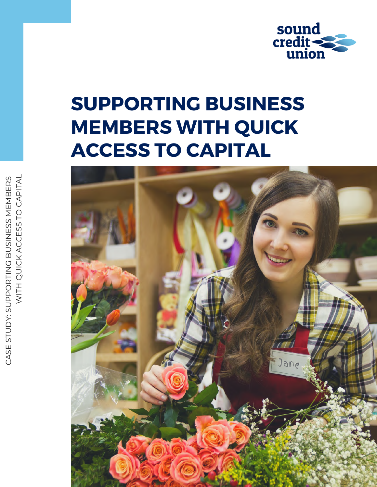# **SUPPORTING BUSINESS MEMBERS WITH QUICK ACCESS TO CAPITAL**





 $\bigcup$  $\bm{\mathsf{\Omega}}$  $\bigcup$ <u>Z</u> こ<br>SIC  $\Box$  $\bm{\mathcal{S}}$  $\bm{\mathcal{S}}$  $\sum$  $\Box$  $\sum$  $\bm{\mathsf{\Omega}}$  $\Box$  $\alpha$  $\bm{\mathcal{S}}$  $\boldsymbol{\times}$  $\blacktriangleleft$  $\bigcup$  $\bigcup$  $\Box$  $\bm{\mathcal{S}}$  $\bm{\mathcal{S}}$  $\vdash$ O $\bigcup$  $\blacktriangleleft$  $\frac{\mathsf{I}}{\mathsf{I}}$  $\blacktriangleleft$  $\overline{\phantom{0}}$ 

#### $\bigcup$  $\blacktriangleleft$  $\bm{\mathcal{S}}$  $\Box$  $\bm{\mathcal{S}}$  $\vdash$  $\Box$  $\bigcap$  $\searrow$ . .  $\bm{\mathcal{S}}$  $\bigcup$  $\mathbf \Omega$  $\mathbf \Omega$ O $\bm{\alpha}$ Z =<br>F 7  $\sum\limits_{i=1}^{n}$ 工  $\bigcirc$ U<br>J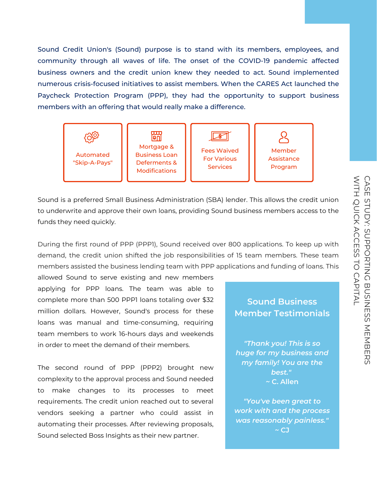

### Sound Credit Union's (Sound) purpose is to stand with its members, employees, and community through all waves of life. The onset of the COVID-19 pandemic affected business owners and the credit union knew they needed to act. Sound implemented numerous crisis-focused initiatives to assist members. When the CARES Act launched the Paycheck Protection Program (PPP), they had the opportunity to support business members with an offering that would really make a difference.

Sound is a preferred Small Business Administration (SBA) lender. This allows the credit union to underwrite and approve their own loans, providing Sound business members access to the funds they need quickly.

During the first round of PPP (PPP1), Sound received over 800 applications. To keep up with demand, the credit union shifted the job responsibilities of 15 team members. These team

members assisted the business lending team with PPP applications and funding of loans. This

### **Sound Business Member Testimonials**

*"Thank you! This is so huge for my business and my family! You are the best. " ~* **C. Allen**

*"You've been great to work with and the process was reasonably painless. " ~* **CJ**

allowed Sound to serve existing and new members applying for PPP loans. The team was able to complete more than 500 PPP1 loans totaling over \$32 million dollars. However, Sound's process for these loans was manual and time-consuming, requiring team members to work 16-hours days and weekends in order to meet the demand of their members.

The second round of PPP (PPP2) brought new complexity to the approval process and Sound needed to make changes to its processes to meet

requirements. The credit union reached out to several vendors seeking a partner who could assist in automating their processes. After reviewing proposals,

Sound selected Boss Insights as their new partner.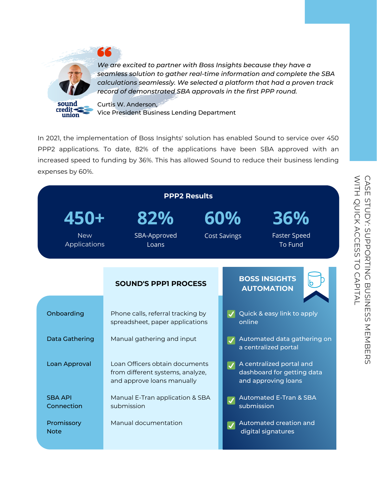*We are excited to partner with Boss Insights because they have a seamless solution to gather real-time information and complete the SBA calculations seamlessly. We selected a platform that had a proven track record of demonstrated SBA approvals in the first PPP round.*



Curtis W. Anderson,

Vice President Business Lending Department



Quick & easy link to apply online

Automated data gathering on a centralized portal

A centralized portal and dashboard for getting data and approving loans

Automated E-Tran & SBA Automated creation and

Phone calls, referral tracking by spreadsheet, paper applications

Manual gathering and input

Loan Officers obtain documents from different systems, analyze, and approve loans manually

submission digital signatures Manual E-Tran application & SBA submission Manual documentation SBA API Connection Promissory Note

## **BOSS INSIGHTS AUTOMATION**



**SOUND'S PPP1 PROCESS**

Onboarding

Data Gathering

Loan Approval

In 2021, the implementation of Boss Insights' solution has enabled Sound to service over 450 PPP2 applications. To date, 82% of the applications have been SBA approved with an increased speed to funding by 36%. This has allowed Sound to reduce their business lending expenses by 60%.